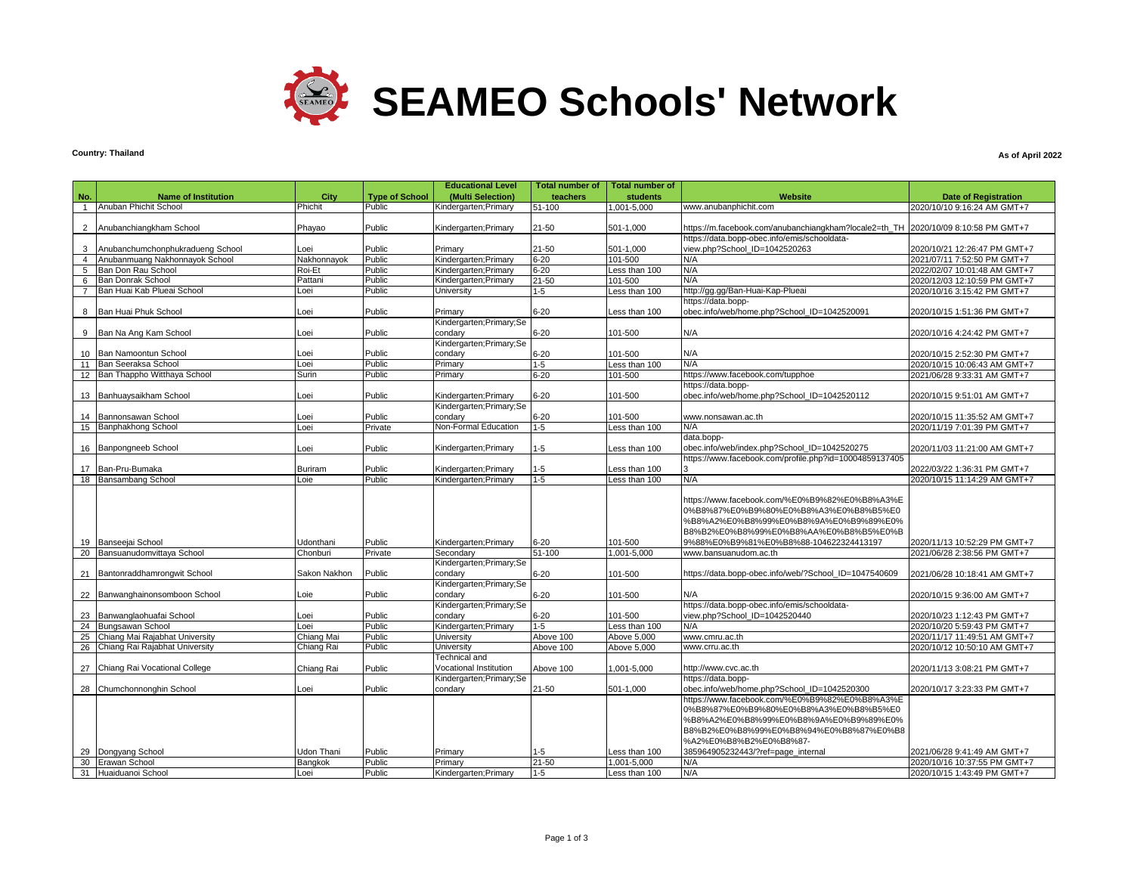

# **Country: Thailand**

### **As of April 2022**

|                 |                                               |                       |                       | <b>Educational Level</b>             | <b>Total number of</b> | <b>Total number of</b>    |                                                                                   |                                                             |
|-----------------|-----------------------------------------------|-----------------------|-----------------------|--------------------------------------|------------------------|---------------------------|-----------------------------------------------------------------------------------|-------------------------------------------------------------|
| No.             | <b>Name of Institution</b>                    | City                  | <b>Type of School</b> | (Multi Selection)                    | teachers               | students                  | Website                                                                           | <b>Date of Registration</b>                                 |
| $\mathbf{1}$    | Anuban Phichit School                         | Phichit               | Public                | Kindergarten; Primary                | 51-100                 | $,001-5,000$              | www.anubanphichit.com                                                             | 2020/10/10 9:16:24 AM GMT+7                                 |
|                 |                                               |                       |                       |                                      |                        |                           |                                                                                   |                                                             |
| 2               | Anubanchiangkham School                       | Phayao                | Public                | Kindergarten; Primary                | 21-50                  | 501-1.000                 | https://m.facebook.com/anubanchiangkham?locale2=th_TH 2020/10/09 8:10:58 PM GMT+7 |                                                             |
|                 |                                               |                       |                       |                                      |                        |                           | https://data.bopp-obec.info/emis/schooldata-                                      |                                                             |
| 3               | Anubanchumchonphukradueng School              | Loei                  | Public                | Primary                              | 21-50                  | 501-1,000                 | view.php?School_ID=1042520263                                                     | 2020/10/21 12:26:47 PM GMT+7                                |
| $\overline{4}$  | Anubanmuang Nakhonnayok School                | Nakhonnayok           | Public                | Kindergarten; Primary                | $6 - 20$               | 101-500                   | N/A                                                                               | 2021/07/11 7:52:50 PM GMT+7                                 |
| 5               | Ban Don Rau School                            | Roi-Et                | Public                | Kindergarten; Primary                | $6 - 20$               | Less than 100             | N/A                                                                               | 2022/02/07 10:01:48 AM GMT+7                                |
| 6               | Ban Donrak School                             | Pattani               | Public                | Kindergarten; Primary                | $21 - 50$              | 101-500                   | N/A                                                                               | 2020/12/03 12:10:59 PM GMT+7                                |
|                 | Ban Huai Kab Plueai School                    | Loei                  | Public                | University                           | $1-5$                  | Less than 100             | http://gg.gg/Ban-Huai-Kap-Plueai                                                  | 2020/10/16 3:15:42 PM GMT+7                                 |
|                 |                                               |                       |                       |                                      |                        |                           | https://data.bopp-                                                                |                                                             |
| 8               | Ban Huai Phuk School                          | Loei                  | Public                | Primary<br>Kindergarten; Primary; Se | $6 - 20$               | Less than 100             | obec.info/web/home.php?School_ID=1042520091                                       | 2020/10/15 1:51:36 PM GMT+7                                 |
| 9               | Ban Na Ang Kam School                         | Loei                  | Public                | condarv                              | $6 - 20$               | 101-500                   | N/A                                                                               | 2020/10/16 4:24:42 PM GMT+7                                 |
|                 |                                               |                       |                       | Kindergarten; Primary; Se            |                        |                           |                                                                                   |                                                             |
| 10 <sup>1</sup> | Ban Namoontun School                          | Loei                  | Public                | condary                              | $6 - 20$               | 101-500                   | N/A                                                                               | 2020/10/15 2:52:30 PM GMT+7                                 |
| 11              | Ban Seeraksa School                           | Loei                  | Public                | Primary                              | $1-5$                  | Less than 100             | N/A                                                                               | 2020/10/15 10:06:43 AM GMT+7                                |
|                 | 12 Ban Thappho Witthaya School                | Surin                 | Public                | Primary                              | $6 - 20$               | 101-500                   | https://www.facebook.com/tupphoe                                                  | 2021/06/28 9:33:31 AM GMT+7                                 |
|                 |                                               |                       |                       |                                      |                        |                           | https://data.bopp-                                                                |                                                             |
|                 | 13 Banhuaysaikham School                      | Loei                  | Public                | Kindergarten; Primary                | $6 - 20$               | 101-500                   | obec.info/web/home.php?School ID=1042520112                                       | 2020/10/15 9:51:01 AM GMT+7                                 |
|                 |                                               |                       |                       | Kindergarten; Primary; Se            |                        |                           |                                                                                   |                                                             |
| 14              | Bannonsawan School                            | Loei                  | Public                | condarv                              | $6 - 20$               | 101-500                   | www.nonsawan.ac.th                                                                | 2020/10/15 11:35:52 AM GMT+7                                |
|                 | 15 Banphakhong School                         | Loei                  | Private               | Non-Formal Education                 | $1-5$                  | Less than 100             | N/A                                                                               | 2020/11/19 7:01:39 PM GMT+7                                 |
|                 |                                               |                       |                       |                                      |                        |                           | data.bopp-                                                                        |                                                             |
|                 | 16 Banpongneeb School                         | Loei                  | Public                | Kindergarten; Primary                | $1-5$                  | Less than 100             | obec.info/web/index.php?School ID=1042520275                                      | 2020/11/03 11:21:00 AM GMT+7                                |
|                 |                                               |                       |                       |                                      |                        |                           | https://www.facebook.com/profile.php?id=10004859137405                            |                                                             |
|                 | 17 Ban-Pru-Bumaka                             | Buriram               | Public                | Kindergarten; Primary                | $1 - 5$                | Less than 100             |                                                                                   | 2022/03/22 1:36:31 PM GMT+7                                 |
|                 | 18 Bansambang School                          | Loie                  | Public                | Kindergarten; Primary                | $1 - 5$                | Less than 100             | N/A                                                                               | 2020/10/15 11:14:29 AM GMT+7                                |
|                 |                                               |                       |                       |                                      |                        |                           |                                                                                   |                                                             |
|                 |                                               |                       |                       |                                      |                        |                           | https://www.facebook.com/%E0%B9%82%E0%B8%A3%E                                     |                                                             |
|                 |                                               |                       |                       |                                      |                        |                           | 0%B8%87%E0%B9%80%E0%B8%A3%E0%B8%B5%E0                                             |                                                             |
|                 |                                               |                       |                       |                                      |                        |                           | %B8%A2%E0%B8%99%E0%B8%9A%E0%B9%89%E0%                                             |                                                             |
|                 |                                               |                       |                       |                                      |                        |                           | B8%B2%E0%B8%99%E0%B8%AA%E0%B8%B5%E0%B                                             |                                                             |
| 19<br>20        | Banseejai School<br>Bansuanudomvittaya School | Udonthani<br>Chonburi | Public<br>Private     | Kindergarten; Primary<br>Secondary   | $6 - 20$<br>51-100     | 101-500<br>$.001 - 5.000$ | 9%88%E0%B9%81%E0%B8%88-104622324413197<br>www.bansuanudom.ac.th                   | 2020/11/13 10:52:29 PM GMT+7<br>2021/06/28 2:38:56 PM GMT+7 |
|                 |                                               |                       |                       | Kindergarten; Primary; Se            |                        |                           |                                                                                   |                                                             |
|                 | 21 Bantonraddhamrongwit School                | Sakon Nakhon          | Public                | condary                              | $6 - 20$               | 101-500                   | https://data.bopp-obec.info/web/?School_ID=1047540609                             | 2021/06/28 10:18:41 AM GMT+7                                |
|                 |                                               |                       |                       | Kindergarten; Primary: Se            |                        |                           |                                                                                   |                                                             |
| 22              | Banwanghainonsomboon School                   | Loie                  | Public                | condarv                              | $6 - 20$               | 101-500                   | N/A                                                                               | 2020/10/15 9:36:00 AM GMT+7                                 |
|                 |                                               |                       |                       | Kindergarten; Primary; Se            |                        |                           | https://data.bopp-obec.info/emis/schooldata-                                      |                                                             |
| 23              | Banwanglaohuafai School                       | Loei                  | Public                | condarv                              | $6 - 20$               | 101-500                   | view.php?School ID=1042520440                                                     | 2020/10/23 1:12:43 PM GMT+7                                 |
| 24              | Bungsawan School                              | Loei                  | Public                | Kindergarten; Primary                | $1 - 5$                | Less than 100             | N/A                                                                               | 2020/10/20 5:59:43 PM GMT+7                                 |
| 25              | Chiang Mai Rajabhat University                | Chiang Mai            | Public                | University                           | Above 100              | Above 5,000               | www.cmru.ac.th                                                                    | 2020/11/17 11:49:51 AM GMT+7                                |
| 26              | Chiang Rai Rajabhat University                | Chiang Rai            | Public                | University                           | Above 100              | Above 5,000               | www.crru.ac.th                                                                    | 2020/10/12 10:50:10 AM GMT+7                                |
|                 |                                               |                       |                       | Technical and                        |                        |                           |                                                                                   |                                                             |
|                 | 27 Chiang Rai Vocational College              | Chiang Rai            | Public                | Vocational Institution               | Above 100              | 1,001-5,000               | http://www.cvc.ac.th                                                              | 2020/11/13 3:08:21 PM GMT+7                                 |
|                 |                                               |                       |                       | Kindergarten; Primary; Se            |                        |                           | https://data.bopp-                                                                |                                                             |
|                 | 28 Chumchonnonghin School                     | Loei                  | Public                | condary                              | 21-50                  | 501-1,000                 | obec.info/web/home.php?School_ID=1042520300                                       | 2020/10/17 3:23:33 PM GMT+7                                 |
|                 |                                               |                       |                       |                                      |                        |                           | https://www.facebook.com/%E0%B9%82%E0%B8%A3%E                                     |                                                             |
|                 |                                               |                       |                       |                                      |                        |                           | 0%B8%87%E0%B9%80%E0%B8%A3%E0%B8%B5%E0                                             |                                                             |
|                 |                                               |                       |                       |                                      |                        |                           | %B8%A2%E0%B8%99%E0%B8%9A%E0%B9%89%E0%                                             |                                                             |
|                 |                                               |                       |                       |                                      |                        |                           | B8%B2%E0%B8%99%E0%B8%94%E0%B8%87%E0%B8                                            |                                                             |
| 29              | Dongyang School                               | <b>Udon Thani</b>     | Public                | Primary                              | $1-5$                  | Less than 100             | %A2%E0%B8%B2%E0%B8%87-<br>385964905232443/?ref=page_internal                      | 2021/06/28 9:41:49 AM GMT+7                                 |
| 30              | <b>Erawan School</b>                          | Bangkok               | Public                | Primary                              | $21 - 50$              | 1,001-5,000               | N/A                                                                               | 2020/10/16 10:37:55 PM GMT+7                                |
|                 | 31 Huaiduanoi School                          | Loei                  | Public                | Kindergarten; Primary                | $1 - 5$                | Less than 100             | N/A                                                                               | 2020/10/15 1:43:49 PM GMT+7                                 |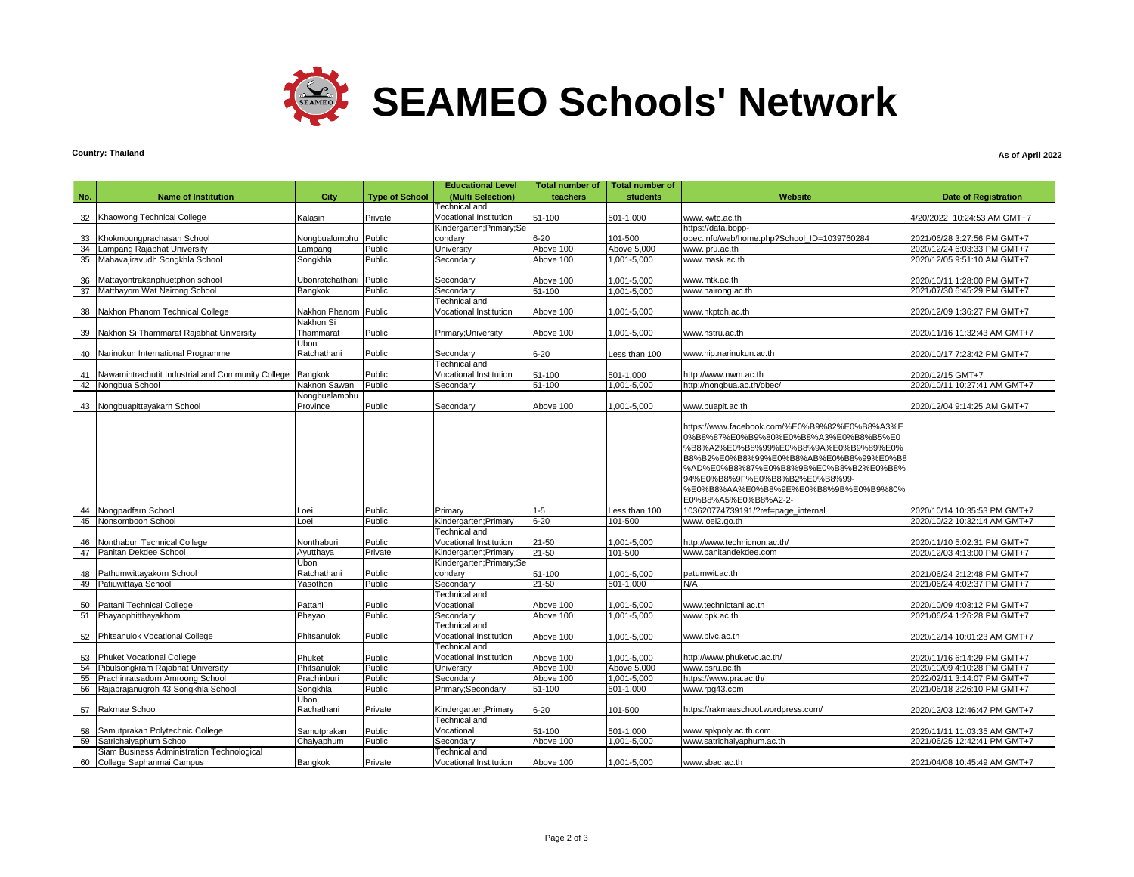

### **Country: Thailand**

### **As of April 2022**

| No.<br><b>Name of Institution</b><br>City<br><b>Type of School</b><br>(Multi Selection)<br>teachers<br><b>students</b><br>Website<br><b>Date of Registration</b><br><b>Technical</b> and<br>32<br>Kalasin<br>Private<br>Vocational Institution<br>51-100<br>501-1,000<br>4/20/2022 10:24:53 AM GMT+7<br>Khaowong Technical College<br>www.kwtc.ac.th<br>Kindergarten; Primary; Se<br>https://data.bopp-<br>$6 - 20$<br>101-500<br>Public<br>obec.info/web/home.php?School_ID=1039760284<br>33<br>Khokmoungprachasan School<br>Nongbualumphu<br>condarv<br>2021/06/28 3:27:56 PM GMT+7<br>Public<br>Lampang Rajabhat University<br><b>University</b><br>Above 100<br>Above 5,000<br>www.lpru.ac.th<br>2020/12/24 6:03:33 PM GMT+7<br>34<br>Lampang<br>35<br>Mahavajiravudh Songkhla School<br>Public<br>Above 100<br>1,001-5,000<br>2020/12/05 9:51:10 AM GMT+7<br>Songkhla<br>Secondary<br>www.mask.ac.th<br>Public<br>Above 100<br>1,001-5,000<br>2020/10/11 1:28:00 PM GMT+7<br>36<br>Mattayontrakanphuetphon school<br>Ubonratchathani<br>Secondary<br>www.mtk.ac.th<br>Matthayom Wat Nairong School<br><b>Bangkok</b><br>Public<br>1,001-5,000<br>www.nairong.ac.th<br>2021/07/30 6:45:29 PM GMT+7<br>37<br>Secondary<br>51-100<br>Technical and<br>Nakhon Phanom Technical College<br>Nakhon Phanom<br>Public<br>Vocational Institution<br>38<br>Above 100<br>$001 - 5000$<br>www.nkptch.ac.th<br>2020/12/09 1:36:27 PM GMT+7<br>Nakhon Si<br>39 Nakhon Si Thammarat Rajabhat University<br>Thammarat<br>Primary; University<br>Public<br>1,001-5,000<br>www.nstru.ac.th<br>2020/11/16 11:32:43 AM GMT+7<br>Above 100<br>Ubon<br>Ratchathani<br>Public<br>$6 - 20$<br>40 Narinukun International Programme<br>Secondary<br>www.nip.narinukun.ac.th<br>Less than 100<br>2020/10/17 7:23:42 PM GMT+7<br>Technical and<br>Nawamintrachutit Industrial and Community College<br>Bangkok<br>Public<br>Vocational Institution<br>51-100<br>http://www.nwm.ac.th<br>41<br>501-1,000<br>2020/12/15 GMT+7<br>Naknon Sawan<br>Public<br>51-100<br>2020/10/11 10:27:41 AM GMT+7<br>42<br>Nongbua School<br>Secondary<br>1,001-5,000<br>http://nongbua.ac.th/obec/<br>Nongbualamphu<br>Public<br>43 Nongbuapittayakarn School<br>Province<br>Secondary<br>1,001-5,000<br>www.buapit.ac.th<br>2020/12/04 9:14:25 AM GMT+7<br>Above 100<br>https://www.facebook.com/%E0%B9%82%E0%B8%A3%E<br>0%B8%87%E0%B9%80%E0%B8%A3%E0%B8%B5%E0<br>%B8%A2%E0%B8%99%E0%B8%9A%E0%B9%89%E0%<br>B8%B2%E0%B8%99%E0%B8%AB%E0%B8%99%E0%B8<br>%AD%E0%B8%87%E0%B8%9B%E0%B8%B2%E0%B8%<br>94%E0%B8%9F%E0%B8%B2%E0%B8%99-<br>%E0%B8%AA%E0%B8%9E%E0%B8%9B%E0%B9%80%<br>E0%B8%A5%E0%B8%A2-2-<br>$1 - 5$<br>Nongpadfarn School<br>Public<br>Less than 100<br>103620774739191/?ref=page_internal<br>2020/10/14 10:35:53 PM GMT+7<br>44<br>Loei<br>Primary<br>Nonsomboon School<br>Kindergarten; Primary<br>$6 - 20$<br>45<br>Loei<br>Public<br>101-500<br>www.loei2.go.th<br>2020/10/22 10:32:14 AM GMT+7<br>Technical and<br>Nonthaburi Technical College<br>Public<br>Vocational Institution<br>21-50<br>http://www.technicnon.ac.th/<br>46<br>Nonthaburi<br>1,001-5,000<br>2020/11/10 5:02:31 PM GMT+7<br>Panitan Dekdee School<br>$21 - 50$<br>101-500<br>47<br>Ayutthaya<br>Private<br>Kindergarten; Primary<br>www.panitandekdee.com<br>2020/12/03 4:13:00 PM GMT+7<br>Ubon<br>Kindergarten; Primary; Se<br>Ratchathani<br>Public<br>48<br>Pathumwittayakorn School<br>condary<br>51-100<br>1,001-5,000<br>patumwit.ac.th<br>2021/06/24 2:12:48 PM GMT+7<br>Public<br>Patiuwittaya School<br>Yasothon<br>Secondary<br>$21 - 50$<br>501-1.000<br>N/A<br>2021/06/24 4:02:37 PM GMT+7<br>49<br>Technical and<br>Public<br>Pattani Technical College<br>Pattani<br>Vocational<br>www.technictani.ac.th<br>50<br>Above 100<br>001-5,000,<br>2020/10/09 4:03:12 PM GMT+7<br>Public<br>Phayaophitthayakhom<br>Phayao<br>Secondary<br>Above 100<br>1.001-5.000<br>www.ppk.ac.th<br>2021/06/24 1:26:28 PM GMT+7<br>51<br>Technical and<br>Public<br>Phitsanulok Vocational College<br>Phitsanulok<br>Vocational Institution<br>001-5,000<br>www.plvc.ac.th<br>2020/12/14 10:01:23 AM GMT+7<br>52<br>Above 100<br>Technical and<br>Phuket Vocational College<br>Phuket<br>Public<br>Vocational Institution<br>1.001-5.000<br>http://www.phuketvc.ac.th/<br>Above 100<br>2020/11/16 6:14:29 PM GMT+7<br>53<br>Public<br>54<br>Pibulsongkram Rajabhat University<br>Phitsanulok<br>Above 100<br>Above 5,000<br>2020/10/09 4:10:28 PM GMT+7<br>University<br>www.psru.ac.th<br>55<br>Prachinratsadorn Amroong School<br>Prachinburi<br>Above 100<br>1,001-5,000<br>Public<br>Secondary<br>https://www.pra.ac.th/<br>2022/02/11 3:14:07 PM GMT+7<br>56 Rajaprajanugroh 43 Songkhla School<br>Public<br>2021/06/18 2:26:10 PM GMT+7<br>Songkhla<br>Primary; Secondary<br>51-100<br>501-1,000<br>www.rpg43.com<br>Ubon |  |  | <b>Educational Level</b> | <b>Total number of</b> | <b>Total number of</b> |  |
|-----------------------------------------------------------------------------------------------------------------------------------------------------------------------------------------------------------------------------------------------------------------------------------------------------------------------------------------------------------------------------------------------------------------------------------------------------------------------------------------------------------------------------------------------------------------------------------------------------------------------------------------------------------------------------------------------------------------------------------------------------------------------------------------------------------------------------------------------------------------------------------------------------------------------------------------------------------------------------------------------------------------------------------------------------------------------------------------------------------------------------------------------------------------------------------------------------------------------------------------------------------------------------------------------------------------------------------------------------------------------------------------------------------------------------------------------------------------------------------------------------------------------------------------------------------------------------------------------------------------------------------------------------------------------------------------------------------------------------------------------------------------------------------------------------------------------------------------------------------------------------------------------------------------------------------------------------------------------------------------------------------------------------------------------------------------------------------------------------------------------------------------------------------------------------------------------------------------------------------------------------------------------------------------------------------------------------------------------------------------------------------------------------------------------------------------------------------------------------------------------------------------------------------------------------------------------------------------------------------------------------------------------------------------------------------------------------------------------------------------------------------------------------------------------------------------------------------------------------------------------------------------------------------------------------------------------------------------------------------------------------------------------------------------------------------------------------------------------------------------------------------------------------------------------------------------------------------------------------------------------------------------------------------------------------------------------------------------------------------------------------------------------------------------------------------------------------------------------------------------------------------------------------------------------------------------------------------------------------------------------------------------------------------------------------------------------------------------------------------------------------------------------------------------------------------------------------------------------------------------------------------------------------------------------------------------------------------------------------------------------------------------------------------------------------------------------------------------------------------------------------------------------------------------------------------------------------------------------------------------------------------------------------------------------------------------------------------------------------------------------------------------------------------------------------------------------------------------------------------------------------------------------------------------------------------------------------------------------------------------------------------------------------------------------------------------------------------------------------------------------------------------------------------------------------------------------------------------------------------------------|--|--|--------------------------|------------------------|------------------------|--|
|                                                                                                                                                                                                                                                                                                                                                                                                                                                                                                                                                                                                                                                                                                                                                                                                                                                                                                                                                                                                                                                                                                                                                                                                                                                                                                                                                                                                                                                                                                                                                                                                                                                                                                                                                                                                                                                                                                                                                                                                                                                                                                                                                                                                                                                                                                                                                                                                                                                                                                                                                                                                                                                                                                                                                                                                                                                                                                                                                                                                                                                                                                                                                                                                                                                                                                                                                                                                                                                                                                                                                                                                                                                                                                                                                                                                                                                                                                                                                                                                                                                                                                                                                                                                                                                                                                                                                                                                                                                                                                                                                                                                                                                                                                                                                                                                                                                                       |  |  |                          |                        |                        |  |
|                                                                                                                                                                                                                                                                                                                                                                                                                                                                                                                                                                                                                                                                                                                                                                                                                                                                                                                                                                                                                                                                                                                                                                                                                                                                                                                                                                                                                                                                                                                                                                                                                                                                                                                                                                                                                                                                                                                                                                                                                                                                                                                                                                                                                                                                                                                                                                                                                                                                                                                                                                                                                                                                                                                                                                                                                                                                                                                                                                                                                                                                                                                                                                                                                                                                                                                                                                                                                                                                                                                                                                                                                                                                                                                                                                                                                                                                                                                                                                                                                                                                                                                                                                                                                                                                                                                                                                                                                                                                                                                                                                                                                                                                                                                                                                                                                                                                       |  |  |                          |                        |                        |  |
|                                                                                                                                                                                                                                                                                                                                                                                                                                                                                                                                                                                                                                                                                                                                                                                                                                                                                                                                                                                                                                                                                                                                                                                                                                                                                                                                                                                                                                                                                                                                                                                                                                                                                                                                                                                                                                                                                                                                                                                                                                                                                                                                                                                                                                                                                                                                                                                                                                                                                                                                                                                                                                                                                                                                                                                                                                                                                                                                                                                                                                                                                                                                                                                                                                                                                                                                                                                                                                                                                                                                                                                                                                                                                                                                                                                                                                                                                                                                                                                                                                                                                                                                                                                                                                                                                                                                                                                                                                                                                                                                                                                                                                                                                                                                                                                                                                                                       |  |  |                          |                        |                        |  |
|                                                                                                                                                                                                                                                                                                                                                                                                                                                                                                                                                                                                                                                                                                                                                                                                                                                                                                                                                                                                                                                                                                                                                                                                                                                                                                                                                                                                                                                                                                                                                                                                                                                                                                                                                                                                                                                                                                                                                                                                                                                                                                                                                                                                                                                                                                                                                                                                                                                                                                                                                                                                                                                                                                                                                                                                                                                                                                                                                                                                                                                                                                                                                                                                                                                                                                                                                                                                                                                                                                                                                                                                                                                                                                                                                                                                                                                                                                                                                                                                                                                                                                                                                                                                                                                                                                                                                                                                                                                                                                                                                                                                                                                                                                                                                                                                                                                                       |  |  |                          |                        |                        |  |
|                                                                                                                                                                                                                                                                                                                                                                                                                                                                                                                                                                                                                                                                                                                                                                                                                                                                                                                                                                                                                                                                                                                                                                                                                                                                                                                                                                                                                                                                                                                                                                                                                                                                                                                                                                                                                                                                                                                                                                                                                                                                                                                                                                                                                                                                                                                                                                                                                                                                                                                                                                                                                                                                                                                                                                                                                                                                                                                                                                                                                                                                                                                                                                                                                                                                                                                                                                                                                                                                                                                                                                                                                                                                                                                                                                                                                                                                                                                                                                                                                                                                                                                                                                                                                                                                                                                                                                                                                                                                                                                                                                                                                                                                                                                                                                                                                                                                       |  |  |                          |                        |                        |  |
|                                                                                                                                                                                                                                                                                                                                                                                                                                                                                                                                                                                                                                                                                                                                                                                                                                                                                                                                                                                                                                                                                                                                                                                                                                                                                                                                                                                                                                                                                                                                                                                                                                                                                                                                                                                                                                                                                                                                                                                                                                                                                                                                                                                                                                                                                                                                                                                                                                                                                                                                                                                                                                                                                                                                                                                                                                                                                                                                                                                                                                                                                                                                                                                                                                                                                                                                                                                                                                                                                                                                                                                                                                                                                                                                                                                                                                                                                                                                                                                                                                                                                                                                                                                                                                                                                                                                                                                                                                                                                                                                                                                                                                                                                                                                                                                                                                                                       |  |  |                          |                        |                        |  |
|                                                                                                                                                                                                                                                                                                                                                                                                                                                                                                                                                                                                                                                                                                                                                                                                                                                                                                                                                                                                                                                                                                                                                                                                                                                                                                                                                                                                                                                                                                                                                                                                                                                                                                                                                                                                                                                                                                                                                                                                                                                                                                                                                                                                                                                                                                                                                                                                                                                                                                                                                                                                                                                                                                                                                                                                                                                                                                                                                                                                                                                                                                                                                                                                                                                                                                                                                                                                                                                                                                                                                                                                                                                                                                                                                                                                                                                                                                                                                                                                                                                                                                                                                                                                                                                                                                                                                                                                                                                                                                                                                                                                                                                                                                                                                                                                                                                                       |  |  |                          |                        |                        |  |
|                                                                                                                                                                                                                                                                                                                                                                                                                                                                                                                                                                                                                                                                                                                                                                                                                                                                                                                                                                                                                                                                                                                                                                                                                                                                                                                                                                                                                                                                                                                                                                                                                                                                                                                                                                                                                                                                                                                                                                                                                                                                                                                                                                                                                                                                                                                                                                                                                                                                                                                                                                                                                                                                                                                                                                                                                                                                                                                                                                                                                                                                                                                                                                                                                                                                                                                                                                                                                                                                                                                                                                                                                                                                                                                                                                                                                                                                                                                                                                                                                                                                                                                                                                                                                                                                                                                                                                                                                                                                                                                                                                                                                                                                                                                                                                                                                                                                       |  |  |                          |                        |                        |  |
|                                                                                                                                                                                                                                                                                                                                                                                                                                                                                                                                                                                                                                                                                                                                                                                                                                                                                                                                                                                                                                                                                                                                                                                                                                                                                                                                                                                                                                                                                                                                                                                                                                                                                                                                                                                                                                                                                                                                                                                                                                                                                                                                                                                                                                                                                                                                                                                                                                                                                                                                                                                                                                                                                                                                                                                                                                                                                                                                                                                                                                                                                                                                                                                                                                                                                                                                                                                                                                                                                                                                                                                                                                                                                                                                                                                                                                                                                                                                                                                                                                                                                                                                                                                                                                                                                                                                                                                                                                                                                                                                                                                                                                                                                                                                                                                                                                                                       |  |  |                          |                        |                        |  |
|                                                                                                                                                                                                                                                                                                                                                                                                                                                                                                                                                                                                                                                                                                                                                                                                                                                                                                                                                                                                                                                                                                                                                                                                                                                                                                                                                                                                                                                                                                                                                                                                                                                                                                                                                                                                                                                                                                                                                                                                                                                                                                                                                                                                                                                                                                                                                                                                                                                                                                                                                                                                                                                                                                                                                                                                                                                                                                                                                                                                                                                                                                                                                                                                                                                                                                                                                                                                                                                                                                                                                                                                                                                                                                                                                                                                                                                                                                                                                                                                                                                                                                                                                                                                                                                                                                                                                                                                                                                                                                                                                                                                                                                                                                                                                                                                                                                                       |  |  |                          |                        |                        |  |
|                                                                                                                                                                                                                                                                                                                                                                                                                                                                                                                                                                                                                                                                                                                                                                                                                                                                                                                                                                                                                                                                                                                                                                                                                                                                                                                                                                                                                                                                                                                                                                                                                                                                                                                                                                                                                                                                                                                                                                                                                                                                                                                                                                                                                                                                                                                                                                                                                                                                                                                                                                                                                                                                                                                                                                                                                                                                                                                                                                                                                                                                                                                                                                                                                                                                                                                                                                                                                                                                                                                                                                                                                                                                                                                                                                                                                                                                                                                                                                                                                                                                                                                                                                                                                                                                                                                                                                                                                                                                                                                                                                                                                                                                                                                                                                                                                                                                       |  |  |                          |                        |                        |  |
|                                                                                                                                                                                                                                                                                                                                                                                                                                                                                                                                                                                                                                                                                                                                                                                                                                                                                                                                                                                                                                                                                                                                                                                                                                                                                                                                                                                                                                                                                                                                                                                                                                                                                                                                                                                                                                                                                                                                                                                                                                                                                                                                                                                                                                                                                                                                                                                                                                                                                                                                                                                                                                                                                                                                                                                                                                                                                                                                                                                                                                                                                                                                                                                                                                                                                                                                                                                                                                                                                                                                                                                                                                                                                                                                                                                                                                                                                                                                                                                                                                                                                                                                                                                                                                                                                                                                                                                                                                                                                                                                                                                                                                                                                                                                                                                                                                                                       |  |  |                          |                        |                        |  |
|                                                                                                                                                                                                                                                                                                                                                                                                                                                                                                                                                                                                                                                                                                                                                                                                                                                                                                                                                                                                                                                                                                                                                                                                                                                                                                                                                                                                                                                                                                                                                                                                                                                                                                                                                                                                                                                                                                                                                                                                                                                                                                                                                                                                                                                                                                                                                                                                                                                                                                                                                                                                                                                                                                                                                                                                                                                                                                                                                                                                                                                                                                                                                                                                                                                                                                                                                                                                                                                                                                                                                                                                                                                                                                                                                                                                                                                                                                                                                                                                                                                                                                                                                                                                                                                                                                                                                                                                                                                                                                                                                                                                                                                                                                                                                                                                                                                                       |  |  |                          |                        |                        |  |
|                                                                                                                                                                                                                                                                                                                                                                                                                                                                                                                                                                                                                                                                                                                                                                                                                                                                                                                                                                                                                                                                                                                                                                                                                                                                                                                                                                                                                                                                                                                                                                                                                                                                                                                                                                                                                                                                                                                                                                                                                                                                                                                                                                                                                                                                                                                                                                                                                                                                                                                                                                                                                                                                                                                                                                                                                                                                                                                                                                                                                                                                                                                                                                                                                                                                                                                                                                                                                                                                                                                                                                                                                                                                                                                                                                                                                                                                                                                                                                                                                                                                                                                                                                                                                                                                                                                                                                                                                                                                                                                                                                                                                                                                                                                                                                                                                                                                       |  |  |                          |                        |                        |  |
|                                                                                                                                                                                                                                                                                                                                                                                                                                                                                                                                                                                                                                                                                                                                                                                                                                                                                                                                                                                                                                                                                                                                                                                                                                                                                                                                                                                                                                                                                                                                                                                                                                                                                                                                                                                                                                                                                                                                                                                                                                                                                                                                                                                                                                                                                                                                                                                                                                                                                                                                                                                                                                                                                                                                                                                                                                                                                                                                                                                                                                                                                                                                                                                                                                                                                                                                                                                                                                                                                                                                                                                                                                                                                                                                                                                                                                                                                                                                                                                                                                                                                                                                                                                                                                                                                                                                                                                                                                                                                                                                                                                                                                                                                                                                                                                                                                                                       |  |  |                          |                        |                        |  |
|                                                                                                                                                                                                                                                                                                                                                                                                                                                                                                                                                                                                                                                                                                                                                                                                                                                                                                                                                                                                                                                                                                                                                                                                                                                                                                                                                                                                                                                                                                                                                                                                                                                                                                                                                                                                                                                                                                                                                                                                                                                                                                                                                                                                                                                                                                                                                                                                                                                                                                                                                                                                                                                                                                                                                                                                                                                                                                                                                                                                                                                                                                                                                                                                                                                                                                                                                                                                                                                                                                                                                                                                                                                                                                                                                                                                                                                                                                                                                                                                                                                                                                                                                                                                                                                                                                                                                                                                                                                                                                                                                                                                                                                                                                                                                                                                                                                                       |  |  |                          |                        |                        |  |
|                                                                                                                                                                                                                                                                                                                                                                                                                                                                                                                                                                                                                                                                                                                                                                                                                                                                                                                                                                                                                                                                                                                                                                                                                                                                                                                                                                                                                                                                                                                                                                                                                                                                                                                                                                                                                                                                                                                                                                                                                                                                                                                                                                                                                                                                                                                                                                                                                                                                                                                                                                                                                                                                                                                                                                                                                                                                                                                                                                                                                                                                                                                                                                                                                                                                                                                                                                                                                                                                                                                                                                                                                                                                                                                                                                                                                                                                                                                                                                                                                                                                                                                                                                                                                                                                                                                                                                                                                                                                                                                                                                                                                                                                                                                                                                                                                                                                       |  |  |                          |                        |                        |  |
|                                                                                                                                                                                                                                                                                                                                                                                                                                                                                                                                                                                                                                                                                                                                                                                                                                                                                                                                                                                                                                                                                                                                                                                                                                                                                                                                                                                                                                                                                                                                                                                                                                                                                                                                                                                                                                                                                                                                                                                                                                                                                                                                                                                                                                                                                                                                                                                                                                                                                                                                                                                                                                                                                                                                                                                                                                                                                                                                                                                                                                                                                                                                                                                                                                                                                                                                                                                                                                                                                                                                                                                                                                                                                                                                                                                                                                                                                                                                                                                                                                                                                                                                                                                                                                                                                                                                                                                                                                                                                                                                                                                                                                                                                                                                                                                                                                                                       |  |  |                          |                        |                        |  |
|                                                                                                                                                                                                                                                                                                                                                                                                                                                                                                                                                                                                                                                                                                                                                                                                                                                                                                                                                                                                                                                                                                                                                                                                                                                                                                                                                                                                                                                                                                                                                                                                                                                                                                                                                                                                                                                                                                                                                                                                                                                                                                                                                                                                                                                                                                                                                                                                                                                                                                                                                                                                                                                                                                                                                                                                                                                                                                                                                                                                                                                                                                                                                                                                                                                                                                                                                                                                                                                                                                                                                                                                                                                                                                                                                                                                                                                                                                                                                                                                                                                                                                                                                                                                                                                                                                                                                                                                                                                                                                                                                                                                                                                                                                                                                                                                                                                                       |  |  |                          |                        |                        |  |
|                                                                                                                                                                                                                                                                                                                                                                                                                                                                                                                                                                                                                                                                                                                                                                                                                                                                                                                                                                                                                                                                                                                                                                                                                                                                                                                                                                                                                                                                                                                                                                                                                                                                                                                                                                                                                                                                                                                                                                                                                                                                                                                                                                                                                                                                                                                                                                                                                                                                                                                                                                                                                                                                                                                                                                                                                                                                                                                                                                                                                                                                                                                                                                                                                                                                                                                                                                                                                                                                                                                                                                                                                                                                                                                                                                                                                                                                                                                                                                                                                                                                                                                                                                                                                                                                                                                                                                                                                                                                                                                                                                                                                                                                                                                                                                                                                                                                       |  |  |                          |                        |                        |  |
|                                                                                                                                                                                                                                                                                                                                                                                                                                                                                                                                                                                                                                                                                                                                                                                                                                                                                                                                                                                                                                                                                                                                                                                                                                                                                                                                                                                                                                                                                                                                                                                                                                                                                                                                                                                                                                                                                                                                                                                                                                                                                                                                                                                                                                                                                                                                                                                                                                                                                                                                                                                                                                                                                                                                                                                                                                                                                                                                                                                                                                                                                                                                                                                                                                                                                                                                                                                                                                                                                                                                                                                                                                                                                                                                                                                                                                                                                                                                                                                                                                                                                                                                                                                                                                                                                                                                                                                                                                                                                                                                                                                                                                                                                                                                                                                                                                                                       |  |  |                          |                        |                        |  |
|                                                                                                                                                                                                                                                                                                                                                                                                                                                                                                                                                                                                                                                                                                                                                                                                                                                                                                                                                                                                                                                                                                                                                                                                                                                                                                                                                                                                                                                                                                                                                                                                                                                                                                                                                                                                                                                                                                                                                                                                                                                                                                                                                                                                                                                                                                                                                                                                                                                                                                                                                                                                                                                                                                                                                                                                                                                                                                                                                                                                                                                                                                                                                                                                                                                                                                                                                                                                                                                                                                                                                                                                                                                                                                                                                                                                                                                                                                                                                                                                                                                                                                                                                                                                                                                                                                                                                                                                                                                                                                                                                                                                                                                                                                                                                                                                                                                                       |  |  |                          |                        |                        |  |
|                                                                                                                                                                                                                                                                                                                                                                                                                                                                                                                                                                                                                                                                                                                                                                                                                                                                                                                                                                                                                                                                                                                                                                                                                                                                                                                                                                                                                                                                                                                                                                                                                                                                                                                                                                                                                                                                                                                                                                                                                                                                                                                                                                                                                                                                                                                                                                                                                                                                                                                                                                                                                                                                                                                                                                                                                                                                                                                                                                                                                                                                                                                                                                                                                                                                                                                                                                                                                                                                                                                                                                                                                                                                                                                                                                                                                                                                                                                                                                                                                                                                                                                                                                                                                                                                                                                                                                                                                                                                                                                                                                                                                                                                                                                                                                                                                                                                       |  |  |                          |                        |                        |  |
|                                                                                                                                                                                                                                                                                                                                                                                                                                                                                                                                                                                                                                                                                                                                                                                                                                                                                                                                                                                                                                                                                                                                                                                                                                                                                                                                                                                                                                                                                                                                                                                                                                                                                                                                                                                                                                                                                                                                                                                                                                                                                                                                                                                                                                                                                                                                                                                                                                                                                                                                                                                                                                                                                                                                                                                                                                                                                                                                                                                                                                                                                                                                                                                                                                                                                                                                                                                                                                                                                                                                                                                                                                                                                                                                                                                                                                                                                                                                                                                                                                                                                                                                                                                                                                                                                                                                                                                                                                                                                                                                                                                                                                                                                                                                                                                                                                                                       |  |  |                          |                        |                        |  |
|                                                                                                                                                                                                                                                                                                                                                                                                                                                                                                                                                                                                                                                                                                                                                                                                                                                                                                                                                                                                                                                                                                                                                                                                                                                                                                                                                                                                                                                                                                                                                                                                                                                                                                                                                                                                                                                                                                                                                                                                                                                                                                                                                                                                                                                                                                                                                                                                                                                                                                                                                                                                                                                                                                                                                                                                                                                                                                                                                                                                                                                                                                                                                                                                                                                                                                                                                                                                                                                                                                                                                                                                                                                                                                                                                                                                                                                                                                                                                                                                                                                                                                                                                                                                                                                                                                                                                                                                                                                                                                                                                                                                                                                                                                                                                                                                                                                                       |  |  |                          |                        |                        |  |
|                                                                                                                                                                                                                                                                                                                                                                                                                                                                                                                                                                                                                                                                                                                                                                                                                                                                                                                                                                                                                                                                                                                                                                                                                                                                                                                                                                                                                                                                                                                                                                                                                                                                                                                                                                                                                                                                                                                                                                                                                                                                                                                                                                                                                                                                                                                                                                                                                                                                                                                                                                                                                                                                                                                                                                                                                                                                                                                                                                                                                                                                                                                                                                                                                                                                                                                                                                                                                                                                                                                                                                                                                                                                                                                                                                                                                                                                                                                                                                                                                                                                                                                                                                                                                                                                                                                                                                                                                                                                                                                                                                                                                                                                                                                                                                                                                                                                       |  |  |                          |                        |                        |  |
|                                                                                                                                                                                                                                                                                                                                                                                                                                                                                                                                                                                                                                                                                                                                                                                                                                                                                                                                                                                                                                                                                                                                                                                                                                                                                                                                                                                                                                                                                                                                                                                                                                                                                                                                                                                                                                                                                                                                                                                                                                                                                                                                                                                                                                                                                                                                                                                                                                                                                                                                                                                                                                                                                                                                                                                                                                                                                                                                                                                                                                                                                                                                                                                                                                                                                                                                                                                                                                                                                                                                                                                                                                                                                                                                                                                                                                                                                                                                                                                                                                                                                                                                                                                                                                                                                                                                                                                                                                                                                                                                                                                                                                                                                                                                                                                                                                                                       |  |  |                          |                        |                        |  |
|                                                                                                                                                                                                                                                                                                                                                                                                                                                                                                                                                                                                                                                                                                                                                                                                                                                                                                                                                                                                                                                                                                                                                                                                                                                                                                                                                                                                                                                                                                                                                                                                                                                                                                                                                                                                                                                                                                                                                                                                                                                                                                                                                                                                                                                                                                                                                                                                                                                                                                                                                                                                                                                                                                                                                                                                                                                                                                                                                                                                                                                                                                                                                                                                                                                                                                                                                                                                                                                                                                                                                                                                                                                                                                                                                                                                                                                                                                                                                                                                                                                                                                                                                                                                                                                                                                                                                                                                                                                                                                                                                                                                                                                                                                                                                                                                                                                                       |  |  |                          |                        |                        |  |
|                                                                                                                                                                                                                                                                                                                                                                                                                                                                                                                                                                                                                                                                                                                                                                                                                                                                                                                                                                                                                                                                                                                                                                                                                                                                                                                                                                                                                                                                                                                                                                                                                                                                                                                                                                                                                                                                                                                                                                                                                                                                                                                                                                                                                                                                                                                                                                                                                                                                                                                                                                                                                                                                                                                                                                                                                                                                                                                                                                                                                                                                                                                                                                                                                                                                                                                                                                                                                                                                                                                                                                                                                                                                                                                                                                                                                                                                                                                                                                                                                                                                                                                                                                                                                                                                                                                                                                                                                                                                                                                                                                                                                                                                                                                                                                                                                                                                       |  |  |                          |                        |                        |  |
|                                                                                                                                                                                                                                                                                                                                                                                                                                                                                                                                                                                                                                                                                                                                                                                                                                                                                                                                                                                                                                                                                                                                                                                                                                                                                                                                                                                                                                                                                                                                                                                                                                                                                                                                                                                                                                                                                                                                                                                                                                                                                                                                                                                                                                                                                                                                                                                                                                                                                                                                                                                                                                                                                                                                                                                                                                                                                                                                                                                                                                                                                                                                                                                                                                                                                                                                                                                                                                                                                                                                                                                                                                                                                                                                                                                                                                                                                                                                                                                                                                                                                                                                                                                                                                                                                                                                                                                                                                                                                                                                                                                                                                                                                                                                                                                                                                                                       |  |  |                          |                        |                        |  |
|                                                                                                                                                                                                                                                                                                                                                                                                                                                                                                                                                                                                                                                                                                                                                                                                                                                                                                                                                                                                                                                                                                                                                                                                                                                                                                                                                                                                                                                                                                                                                                                                                                                                                                                                                                                                                                                                                                                                                                                                                                                                                                                                                                                                                                                                                                                                                                                                                                                                                                                                                                                                                                                                                                                                                                                                                                                                                                                                                                                                                                                                                                                                                                                                                                                                                                                                                                                                                                                                                                                                                                                                                                                                                                                                                                                                                                                                                                                                                                                                                                                                                                                                                                                                                                                                                                                                                                                                                                                                                                                                                                                                                                                                                                                                                                                                                                                                       |  |  |                          |                        |                        |  |
|                                                                                                                                                                                                                                                                                                                                                                                                                                                                                                                                                                                                                                                                                                                                                                                                                                                                                                                                                                                                                                                                                                                                                                                                                                                                                                                                                                                                                                                                                                                                                                                                                                                                                                                                                                                                                                                                                                                                                                                                                                                                                                                                                                                                                                                                                                                                                                                                                                                                                                                                                                                                                                                                                                                                                                                                                                                                                                                                                                                                                                                                                                                                                                                                                                                                                                                                                                                                                                                                                                                                                                                                                                                                                                                                                                                                                                                                                                                                                                                                                                                                                                                                                                                                                                                                                                                                                                                                                                                                                                                                                                                                                                                                                                                                                                                                                                                                       |  |  |                          |                        |                        |  |
|                                                                                                                                                                                                                                                                                                                                                                                                                                                                                                                                                                                                                                                                                                                                                                                                                                                                                                                                                                                                                                                                                                                                                                                                                                                                                                                                                                                                                                                                                                                                                                                                                                                                                                                                                                                                                                                                                                                                                                                                                                                                                                                                                                                                                                                                                                                                                                                                                                                                                                                                                                                                                                                                                                                                                                                                                                                                                                                                                                                                                                                                                                                                                                                                                                                                                                                                                                                                                                                                                                                                                                                                                                                                                                                                                                                                                                                                                                                                                                                                                                                                                                                                                                                                                                                                                                                                                                                                                                                                                                                                                                                                                                                                                                                                                                                                                                                                       |  |  |                          |                        |                        |  |
|                                                                                                                                                                                                                                                                                                                                                                                                                                                                                                                                                                                                                                                                                                                                                                                                                                                                                                                                                                                                                                                                                                                                                                                                                                                                                                                                                                                                                                                                                                                                                                                                                                                                                                                                                                                                                                                                                                                                                                                                                                                                                                                                                                                                                                                                                                                                                                                                                                                                                                                                                                                                                                                                                                                                                                                                                                                                                                                                                                                                                                                                                                                                                                                                                                                                                                                                                                                                                                                                                                                                                                                                                                                                                                                                                                                                                                                                                                                                                                                                                                                                                                                                                                                                                                                                                                                                                                                                                                                                                                                                                                                                                                                                                                                                                                                                                                                                       |  |  |                          |                        |                        |  |
|                                                                                                                                                                                                                                                                                                                                                                                                                                                                                                                                                                                                                                                                                                                                                                                                                                                                                                                                                                                                                                                                                                                                                                                                                                                                                                                                                                                                                                                                                                                                                                                                                                                                                                                                                                                                                                                                                                                                                                                                                                                                                                                                                                                                                                                                                                                                                                                                                                                                                                                                                                                                                                                                                                                                                                                                                                                                                                                                                                                                                                                                                                                                                                                                                                                                                                                                                                                                                                                                                                                                                                                                                                                                                                                                                                                                                                                                                                                                                                                                                                                                                                                                                                                                                                                                                                                                                                                                                                                                                                                                                                                                                                                                                                                                                                                                                                                                       |  |  |                          |                        |                        |  |
|                                                                                                                                                                                                                                                                                                                                                                                                                                                                                                                                                                                                                                                                                                                                                                                                                                                                                                                                                                                                                                                                                                                                                                                                                                                                                                                                                                                                                                                                                                                                                                                                                                                                                                                                                                                                                                                                                                                                                                                                                                                                                                                                                                                                                                                                                                                                                                                                                                                                                                                                                                                                                                                                                                                                                                                                                                                                                                                                                                                                                                                                                                                                                                                                                                                                                                                                                                                                                                                                                                                                                                                                                                                                                                                                                                                                                                                                                                                                                                                                                                                                                                                                                                                                                                                                                                                                                                                                                                                                                                                                                                                                                                                                                                                                                                                                                                                                       |  |  |                          |                        |                        |  |
|                                                                                                                                                                                                                                                                                                                                                                                                                                                                                                                                                                                                                                                                                                                                                                                                                                                                                                                                                                                                                                                                                                                                                                                                                                                                                                                                                                                                                                                                                                                                                                                                                                                                                                                                                                                                                                                                                                                                                                                                                                                                                                                                                                                                                                                                                                                                                                                                                                                                                                                                                                                                                                                                                                                                                                                                                                                                                                                                                                                                                                                                                                                                                                                                                                                                                                                                                                                                                                                                                                                                                                                                                                                                                                                                                                                                                                                                                                                                                                                                                                                                                                                                                                                                                                                                                                                                                                                                                                                                                                                                                                                                                                                                                                                                                                                                                                                                       |  |  |                          |                        |                        |  |
|                                                                                                                                                                                                                                                                                                                                                                                                                                                                                                                                                                                                                                                                                                                                                                                                                                                                                                                                                                                                                                                                                                                                                                                                                                                                                                                                                                                                                                                                                                                                                                                                                                                                                                                                                                                                                                                                                                                                                                                                                                                                                                                                                                                                                                                                                                                                                                                                                                                                                                                                                                                                                                                                                                                                                                                                                                                                                                                                                                                                                                                                                                                                                                                                                                                                                                                                                                                                                                                                                                                                                                                                                                                                                                                                                                                                                                                                                                                                                                                                                                                                                                                                                                                                                                                                                                                                                                                                                                                                                                                                                                                                                                                                                                                                                                                                                                                                       |  |  |                          |                        |                        |  |
|                                                                                                                                                                                                                                                                                                                                                                                                                                                                                                                                                                                                                                                                                                                                                                                                                                                                                                                                                                                                                                                                                                                                                                                                                                                                                                                                                                                                                                                                                                                                                                                                                                                                                                                                                                                                                                                                                                                                                                                                                                                                                                                                                                                                                                                                                                                                                                                                                                                                                                                                                                                                                                                                                                                                                                                                                                                                                                                                                                                                                                                                                                                                                                                                                                                                                                                                                                                                                                                                                                                                                                                                                                                                                                                                                                                                                                                                                                                                                                                                                                                                                                                                                                                                                                                                                                                                                                                                                                                                                                                                                                                                                                                                                                                                                                                                                                                                       |  |  |                          |                        |                        |  |
|                                                                                                                                                                                                                                                                                                                                                                                                                                                                                                                                                                                                                                                                                                                                                                                                                                                                                                                                                                                                                                                                                                                                                                                                                                                                                                                                                                                                                                                                                                                                                                                                                                                                                                                                                                                                                                                                                                                                                                                                                                                                                                                                                                                                                                                                                                                                                                                                                                                                                                                                                                                                                                                                                                                                                                                                                                                                                                                                                                                                                                                                                                                                                                                                                                                                                                                                                                                                                                                                                                                                                                                                                                                                                                                                                                                                                                                                                                                                                                                                                                                                                                                                                                                                                                                                                                                                                                                                                                                                                                                                                                                                                                                                                                                                                                                                                                                                       |  |  |                          |                        |                        |  |
|                                                                                                                                                                                                                                                                                                                                                                                                                                                                                                                                                                                                                                                                                                                                                                                                                                                                                                                                                                                                                                                                                                                                                                                                                                                                                                                                                                                                                                                                                                                                                                                                                                                                                                                                                                                                                                                                                                                                                                                                                                                                                                                                                                                                                                                                                                                                                                                                                                                                                                                                                                                                                                                                                                                                                                                                                                                                                                                                                                                                                                                                                                                                                                                                                                                                                                                                                                                                                                                                                                                                                                                                                                                                                                                                                                                                                                                                                                                                                                                                                                                                                                                                                                                                                                                                                                                                                                                                                                                                                                                                                                                                                                                                                                                                                                                                                                                                       |  |  |                          |                        |                        |  |
|                                                                                                                                                                                                                                                                                                                                                                                                                                                                                                                                                                                                                                                                                                                                                                                                                                                                                                                                                                                                                                                                                                                                                                                                                                                                                                                                                                                                                                                                                                                                                                                                                                                                                                                                                                                                                                                                                                                                                                                                                                                                                                                                                                                                                                                                                                                                                                                                                                                                                                                                                                                                                                                                                                                                                                                                                                                                                                                                                                                                                                                                                                                                                                                                                                                                                                                                                                                                                                                                                                                                                                                                                                                                                                                                                                                                                                                                                                                                                                                                                                                                                                                                                                                                                                                                                                                                                                                                                                                                                                                                                                                                                                                                                                                                                                                                                                                                       |  |  |                          |                        |                        |  |
|                                                                                                                                                                                                                                                                                                                                                                                                                                                                                                                                                                                                                                                                                                                                                                                                                                                                                                                                                                                                                                                                                                                                                                                                                                                                                                                                                                                                                                                                                                                                                                                                                                                                                                                                                                                                                                                                                                                                                                                                                                                                                                                                                                                                                                                                                                                                                                                                                                                                                                                                                                                                                                                                                                                                                                                                                                                                                                                                                                                                                                                                                                                                                                                                                                                                                                                                                                                                                                                                                                                                                                                                                                                                                                                                                                                                                                                                                                                                                                                                                                                                                                                                                                                                                                                                                                                                                                                                                                                                                                                                                                                                                                                                                                                                                                                                                                                                       |  |  |                          |                        |                        |  |
|                                                                                                                                                                                                                                                                                                                                                                                                                                                                                                                                                                                                                                                                                                                                                                                                                                                                                                                                                                                                                                                                                                                                                                                                                                                                                                                                                                                                                                                                                                                                                                                                                                                                                                                                                                                                                                                                                                                                                                                                                                                                                                                                                                                                                                                                                                                                                                                                                                                                                                                                                                                                                                                                                                                                                                                                                                                                                                                                                                                                                                                                                                                                                                                                                                                                                                                                                                                                                                                                                                                                                                                                                                                                                                                                                                                                                                                                                                                                                                                                                                                                                                                                                                                                                                                                                                                                                                                                                                                                                                                                                                                                                                                                                                                                                                                                                                                                       |  |  |                          |                        |                        |  |
|                                                                                                                                                                                                                                                                                                                                                                                                                                                                                                                                                                                                                                                                                                                                                                                                                                                                                                                                                                                                                                                                                                                                                                                                                                                                                                                                                                                                                                                                                                                                                                                                                                                                                                                                                                                                                                                                                                                                                                                                                                                                                                                                                                                                                                                                                                                                                                                                                                                                                                                                                                                                                                                                                                                                                                                                                                                                                                                                                                                                                                                                                                                                                                                                                                                                                                                                                                                                                                                                                                                                                                                                                                                                                                                                                                                                                                                                                                                                                                                                                                                                                                                                                                                                                                                                                                                                                                                                                                                                                                                                                                                                                                                                                                                                                                                                                                                                       |  |  |                          |                        |                        |  |
|                                                                                                                                                                                                                                                                                                                                                                                                                                                                                                                                                                                                                                                                                                                                                                                                                                                                                                                                                                                                                                                                                                                                                                                                                                                                                                                                                                                                                                                                                                                                                                                                                                                                                                                                                                                                                                                                                                                                                                                                                                                                                                                                                                                                                                                                                                                                                                                                                                                                                                                                                                                                                                                                                                                                                                                                                                                                                                                                                                                                                                                                                                                                                                                                                                                                                                                                                                                                                                                                                                                                                                                                                                                                                                                                                                                                                                                                                                                                                                                                                                                                                                                                                                                                                                                                                                                                                                                                                                                                                                                                                                                                                                                                                                                                                                                                                                                                       |  |  |                          |                        |                        |  |
|                                                                                                                                                                                                                                                                                                                                                                                                                                                                                                                                                                                                                                                                                                                                                                                                                                                                                                                                                                                                                                                                                                                                                                                                                                                                                                                                                                                                                                                                                                                                                                                                                                                                                                                                                                                                                                                                                                                                                                                                                                                                                                                                                                                                                                                                                                                                                                                                                                                                                                                                                                                                                                                                                                                                                                                                                                                                                                                                                                                                                                                                                                                                                                                                                                                                                                                                                                                                                                                                                                                                                                                                                                                                                                                                                                                                                                                                                                                                                                                                                                                                                                                                                                                                                                                                                                                                                                                                                                                                                                                                                                                                                                                                                                                                                                                                                                                                       |  |  |                          |                        |                        |  |
| Rachathani<br>$6 - 20$<br>57 Rakmae School<br>Private<br>101-500<br>https://rakmaeschool.wordpress.com/<br>2020/12/03 12:46:47 PM GMT+7<br>Kindergarten; Primary                                                                                                                                                                                                                                                                                                                                                                                                                                                                                                                                                                                                                                                                                                                                                                                                                                                                                                                                                                                                                                                                                                                                                                                                                                                                                                                                                                                                                                                                                                                                                                                                                                                                                                                                                                                                                                                                                                                                                                                                                                                                                                                                                                                                                                                                                                                                                                                                                                                                                                                                                                                                                                                                                                                                                                                                                                                                                                                                                                                                                                                                                                                                                                                                                                                                                                                                                                                                                                                                                                                                                                                                                                                                                                                                                                                                                                                                                                                                                                                                                                                                                                                                                                                                                                                                                                                                                                                                                                                                                                                                                                                                                                                                                                      |  |  |                          |                        |                        |  |
| Technical and                                                                                                                                                                                                                                                                                                                                                                                                                                                                                                                                                                                                                                                                                                                                                                                                                                                                                                                                                                                                                                                                                                                                                                                                                                                                                                                                                                                                                                                                                                                                                                                                                                                                                                                                                                                                                                                                                                                                                                                                                                                                                                                                                                                                                                                                                                                                                                                                                                                                                                                                                                                                                                                                                                                                                                                                                                                                                                                                                                                                                                                                                                                                                                                                                                                                                                                                                                                                                                                                                                                                                                                                                                                                                                                                                                                                                                                                                                                                                                                                                                                                                                                                                                                                                                                                                                                                                                                                                                                                                                                                                                                                                                                                                                                                                                                                                                                         |  |  |                          |                        |                        |  |
| Public<br>Vocational<br>51-100<br>58 Samutprakan Polytechnic College<br>501-1,000<br>www.spkpoly.ac.th.com<br>2020/11/11 11:03:35 AM GMT+7<br>Samutprakan                                                                                                                                                                                                                                                                                                                                                                                                                                                                                                                                                                                                                                                                                                                                                                                                                                                                                                                                                                                                                                                                                                                                                                                                                                                                                                                                                                                                                                                                                                                                                                                                                                                                                                                                                                                                                                                                                                                                                                                                                                                                                                                                                                                                                                                                                                                                                                                                                                                                                                                                                                                                                                                                                                                                                                                                                                                                                                                                                                                                                                                                                                                                                                                                                                                                                                                                                                                                                                                                                                                                                                                                                                                                                                                                                                                                                                                                                                                                                                                                                                                                                                                                                                                                                                                                                                                                                                                                                                                                                                                                                                                                                                                                                                             |  |  |                          |                        |                        |  |
| Public<br>59 Satrichaiyaphum School<br>Chaiyaphum<br>Above 100<br>1,001-5,000<br>www.satrichaiyaphum.ac.th<br>Secondary<br>2021/06/25 12:42:41 PM GMT+7                                                                                                                                                                                                                                                                                                                                                                                                                                                                                                                                                                                                                                                                                                                                                                                                                                                                                                                                                                                                                                                                                                                                                                                                                                                                                                                                                                                                                                                                                                                                                                                                                                                                                                                                                                                                                                                                                                                                                                                                                                                                                                                                                                                                                                                                                                                                                                                                                                                                                                                                                                                                                                                                                                                                                                                                                                                                                                                                                                                                                                                                                                                                                                                                                                                                                                                                                                                                                                                                                                                                                                                                                                                                                                                                                                                                                                                                                                                                                                                                                                                                                                                                                                                                                                                                                                                                                                                                                                                                                                                                                                                                                                                                                                               |  |  |                          |                        |                        |  |
| Siam Business Administration Technological<br>Technical and                                                                                                                                                                                                                                                                                                                                                                                                                                                                                                                                                                                                                                                                                                                                                                                                                                                                                                                                                                                                                                                                                                                                                                                                                                                                                                                                                                                                                                                                                                                                                                                                                                                                                                                                                                                                                                                                                                                                                                                                                                                                                                                                                                                                                                                                                                                                                                                                                                                                                                                                                                                                                                                                                                                                                                                                                                                                                                                                                                                                                                                                                                                                                                                                                                                                                                                                                                                                                                                                                                                                                                                                                                                                                                                                                                                                                                                                                                                                                                                                                                                                                                                                                                                                                                                                                                                                                                                                                                                                                                                                                                                                                                                                                                                                                                                                           |  |  |                          |                        |                        |  |
| 60 College Saphanmai Campus<br>Bangkok<br>Private<br>Vocational Institution<br>Above 100<br>1,001-5,000<br>www.sbac.ac.th<br>2021/04/08 10:45:49 AM GMT+7                                                                                                                                                                                                                                                                                                                                                                                                                                                                                                                                                                                                                                                                                                                                                                                                                                                                                                                                                                                                                                                                                                                                                                                                                                                                                                                                                                                                                                                                                                                                                                                                                                                                                                                                                                                                                                                                                                                                                                                                                                                                                                                                                                                                                                                                                                                                                                                                                                                                                                                                                                                                                                                                                                                                                                                                                                                                                                                                                                                                                                                                                                                                                                                                                                                                                                                                                                                                                                                                                                                                                                                                                                                                                                                                                                                                                                                                                                                                                                                                                                                                                                                                                                                                                                                                                                                                                                                                                                                                                                                                                                                                                                                                                                             |  |  |                          |                        |                        |  |